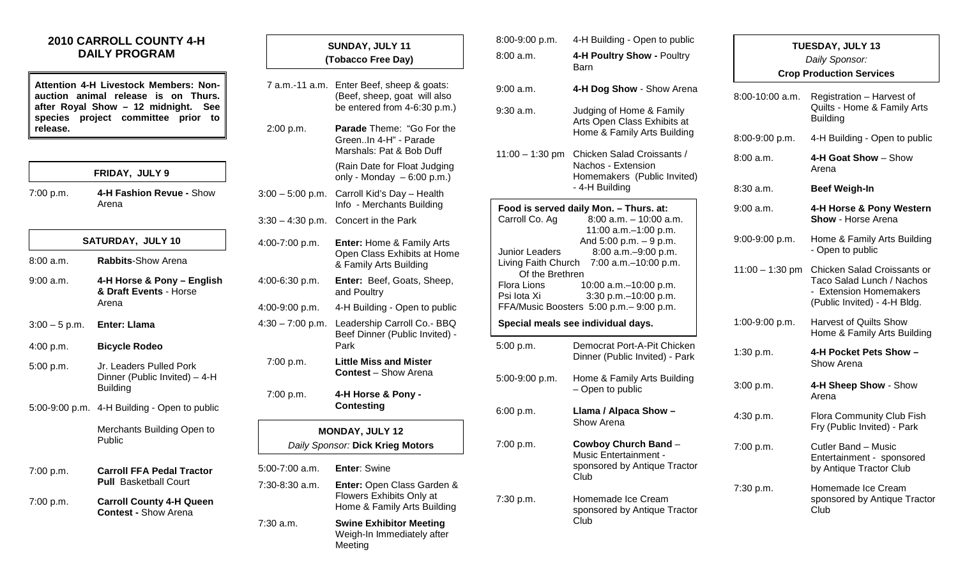## **2010 CARROLL COUNTY 4-H DAILY PROGRAM**

**Attention 4-H Livestock Members: Nonauction animal release is on Thurs. after Royal Show – 12 midnight. See species project committee prior to release.**

| FRIDAY, JULY 9 |
|----------------|
|----------------|

7:00 p.m. **4-H Fashion Revue -** Show Arena

|                              | SATURDAY, JULY 10                                                    |
|------------------------------|----------------------------------------------------------------------|
| 8:00 a.m.                    | <b>Rabbits-Show Arena</b>                                            |
| 9:00 a.m.                    | 4-H Horse & Pony – English<br>& Draft Events - Horse<br>Arena        |
| $3:00 - 5$ p.m. Enter: Llama |                                                                      |
| 4:00 p.m.                    | <b>Bicycle Rodeo</b>                                                 |
| 5:00 p.m.                    | Jr. Leaders Pulled Pork<br>Dinner (Public Invited) – 4-H<br>Building |

5:00-9:00 p.m. 4-H Building - Open to public

Merchants Building Open to Public

| 7:00 p.m. | <b>Carroll FFA Pedal Tractor</b> |
|-----------|----------------------------------|
|           | <b>Pull</b> Basketball Court     |

7:00 p.m. **Carroll County 4-H Queen Contest -** Show Arena

|                    | SUNDAY, JULY 11<br>(Tobacco Free Day)                                                        | $8:00-9:0$<br>8:00a.r     |
|--------------------|----------------------------------------------------------------------------------------------|---------------------------|
|                    | 7 a.m.-11 a.m. Enter Beef, sheep & goats:<br>(Beef, sheep, goat will also                    | 9:00a.r                   |
|                    | be entered from 4-6:30 p.m.)                                                                 | 9:30a.r                   |
| 2:00 p.m.          | <b>Parade Theme: "Go For the</b><br>GreenIn 4-H" - Parade<br>Marshals: Pat & Bob Duff        | $11:00 -$                 |
|                    | (Rain Date for Float Judging<br>only - Monday $-6.00$ p.m.)                                  |                           |
| $3:00 - 5:00$ p.m. | Carroll Kid's Day - Health<br>Info - Merchants Building                                      | Food is                   |
| $3:30 - 4:30$ p.m. | Concert in the Park                                                                          | Carroll                   |
| 4:00-7:00 p.m.     | Enter: Home & Family Arts<br>Open Class Exhibits at Home<br>& Family Arts Building           | Junior I<br>Living F      |
| 4:00-6:30 p.m.     | Enter: Beef, Goats, Sheep,<br>and Poultry                                                    | Οl<br>Flora L<br>Psi lota |
| 4:00-9:00 p.m.     | 4-H Building - Open to public                                                                | FFA/M                     |
| $4:30 - 7:00$ p.m. | Leadership Carroll Co.- BBQ<br>Beef Dinner (Public Invited) -<br>Park                        | Specia<br>5:00 p.r        |
| 7:00 p.m.          | <b>Little Miss and Mister</b><br><b>Contest</b> – Show Arena                                 | $5:00-9:0$                |
| 7:00 p.m.          | 4-H Horse & Pony -<br>Contesting                                                             | 6:00 p.r                  |
|                    | <b>MONDAY, JULY 12</b>                                                                       |                           |
|                    | Daily Sponsor: Dick Krieg Motors                                                             | 7:00 p.r                  |
| 5:00-7:00 a.m.     | <b>Enter: Swine</b>                                                                          |                           |
| 7:30-8:30 a.m.     | Enter: Open Class Garden &<br><b>Flowers Exhibits Only at</b><br>Home & Family Arts Building | 7:30 p.r                  |
| 7:30 a.m.          | <b>Swine Exhibitor Meeting</b><br>Weigh-In Immediately after<br>Meeting                      |                           |

| 8:00-9:00 p.m.                                                       | 4-H Building - Open to public                                                                                           |                   | <b>TUESDAY, JULY 13</b>                                                                                            |
|----------------------------------------------------------------------|-------------------------------------------------------------------------------------------------------------------------|-------------------|--------------------------------------------------------------------------------------------------------------------|
| 8:00 a.m.                                                            | 4-H Poultry Show - Poultry                                                                                              |                   | Daily Sponsor:                                                                                                     |
|                                                                      | <b>Barn</b>                                                                                                             |                   | <b>Crop Production Services</b>                                                                                    |
| 9:00 a.m.                                                            | 4-H Dog Show - Show Arena                                                                                               | 8:00-10:00 a.m.   | Registration - Harvest of                                                                                          |
| 9:30 a.m.                                                            | Judging of Home & Family<br>Arts Open Class Exhibits at                                                                 |                   | Quilts - Home & Family Arts<br><b>Building</b>                                                                     |
|                                                                      | Home & Family Arts Building                                                                                             | 8:00-9:00 p.m.    | 4-H Building - Open to public                                                                                      |
| $11:00 - 1:30$ pm                                                    | Chicken Salad Croissants /<br>Nachos - Extension<br>Homemakers (Public Invited)                                         | 8:00 a.m.         | 4-H Goat Show - Show<br>Arena                                                                                      |
|                                                                      | - 4-H Building                                                                                                          | $8:30$ a.m.       | <b>Beef Weigh-In</b>                                                                                               |
| Carroll Co. Ag                                                       | Food is served daily Mon. - Thurs. at:<br>$8:00$ a.m. $-10:00$ a.m.<br>11:00 a.m.-1:00 p.m.                             | $9:00$ a.m.       | 4-H Horse & Pony Western<br>Show - Horse Arena                                                                     |
| <b>Junior Leaders</b>                                                | And $5:00$ p.m. $-9$ p.m.<br>8:00 a.m. - 9:00 p.m.                                                                      | 9:00-9:00 p.m.    | Home & Family Arts Building<br>- Open to public                                                                    |
| Living Faith Church<br>Of the Brethren<br>Flora Lions<br>Psi lota Xi | 7:00 a.m. - 10:00 p.m.<br>10:00 a.m. - 10:00 p.m.<br>3:30 p.m. - 10:00 p.m.<br>FFA/Music Boosters 5:00 p.m. - 9:00 p.m. | $11:00 - 1:30$ pm | Chicken Salad Croissants or<br>Taco Salad Lunch / Nachos<br>- Extension Homemakers<br>(Public Invited) - 4-H Bldg. |
|                                                                      | Special meals see individual days.                                                                                      | 1:00-9:00 p.m.    | <b>Harvest of Quilts Show</b><br>Home & Family Arts Building                                                       |
| 5:00 p.m.                                                            | Democrat Port-A-Pit Chicken<br>Dinner (Public Invited) - Park                                                           | 1:30 p.m.         | 4-H Pocket Pets Show -<br>Show Arena                                                                               |
| 5:00-9:00 p.m.                                                       | Home & Family Arts Building<br>- Open to public                                                                         | 3:00 p.m.         | 4-H Sheep Show - Show<br>Arena                                                                                     |
| 6:00 p.m.                                                            | Llama / Alpaca Show -<br>Show Arena                                                                                     | 4:30 p.m.         | Flora Community Club Fish<br>Fry (Public Invited) - Park                                                           |
| 7:00 p.m.                                                            | Cowboy Church Band -<br><b>Music Entertainment -</b><br>sponsored by Antique Tractor<br>Club                            | 7:00 p.m.         | Cutler Band - Music<br>Entertainment - sponsored<br>by Antique Tractor Club                                        |
| 7:30 p.m.                                                            | Homemade Ice Cream<br>sponsored by Antique Tractor<br>Club                                                              | 7:30 p.m.         | Homemade Ice Cream<br>sponsored by Antique Tractor<br>Club                                                         |
|                                                                      |                                                                                                                         |                   |                                                                                                                    |